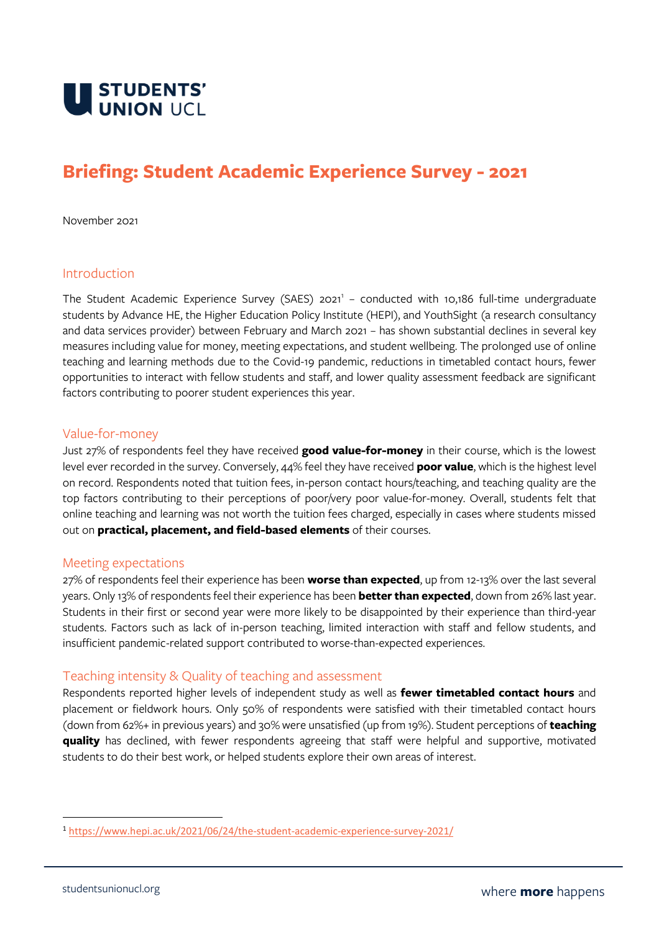

# **Briefing: Student Academic Experience Survey - 2021**

November 2021

#### Introduction

The Student Academic Experience Survey (SAES) 2021<sup>1</sup> - conducted with 10,186 full-time undergraduate students by Advance HE, the Higher Education Policy Institute (HEPI), and YouthSight (a research consultancy and data services provider) between February and March 2021 – has shown substantial declines in several key measures including value for money, meeting expectations, and student wellbeing. The prolonged use of online teaching and learning methods due to the Covid-19 pandemic, reductions in timetabled contact hours, fewer opportunities to interact with fellow students and staff, and lower quality assessment feedback are significant factors contributing to poorer student experiences this year.

#### Value-for-money

Just 27% of respondents feel they have received **good value-for-money** in their course, which is the lowest level ever recorded in the survey. Conversely, 44% feel they have received **poor value**, which is the highest level on record. Respondents noted that tuition fees, in-person contact hours/teaching, and teaching quality are the top factors contributing to their perceptions of poor/very poor value-for-money. Overall, students felt that online teaching and learning was not worth the tuition fees charged, especially in cases where students missed out on **practical, placement, and field-based elements** of their courses.

#### Meeting expectations

27% of respondents feel their experience has been **worse than expected**, up from 12-13% over the last several years. Only 13% of respondents feel their experience has been **better than expected**, down from 26% last year. Students in their first or second year were more likely to be disappointed by their experience than third-year students. Factors such as lack of in-person teaching, limited interaction with staff and fellow students, and insufficient pandemic-related support contributed to worse-than-expected experiences.

### Teaching intensity & Quality of teaching and assessment

Respondents reported higher levels of independent study as well as **fewer timetabled contact hours** and placement or fieldwork hours. Only 50% of respondents were satisfied with their timetabled contact hours (down from 62%+ in previous years) and 30% were unsatisfied (up from 19%). Student perceptions of **teaching quality** has declined, with fewer respondents agreeing that staff were helpful and supportive, motivated students to do their best work, or helped students explore their own areas of interest.

<sup>1</sup> <https://www.hepi.ac.uk/2021/06/24/the-student-academic-experience-survey-2021/>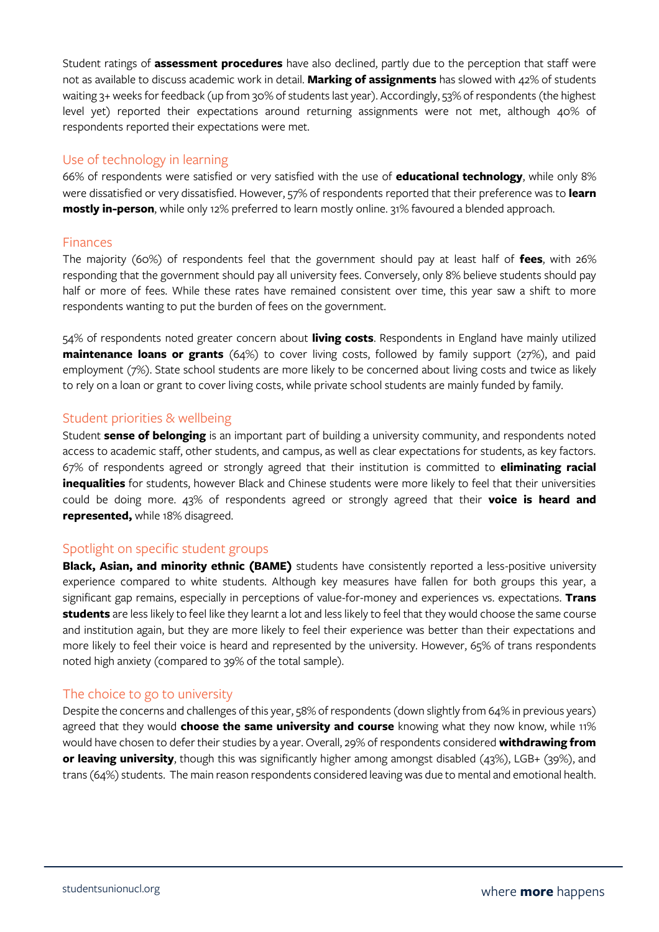Student ratings of **assessment procedures** have also declined, partly due to the perception that staff were not as available to discuss academic work in detail. **Marking of assignments** has slowed with 42% of students waiting 3+ weeks for feedback (up from 30% of students last year). Accordingly, 53% of respondents (the highest level yet) reported their expectations around returning assignments were not met, although 40% of respondents reported their expectations were met.

# Use of technology in learning

66% of respondents were satisfied or very satisfied with the use of **educational technology**, while only 8% were dissatisfied or very dissatisfied. However, 57% of respondents reported that their preference was to **learn mostly in-person**, while only 12% preferred to learn mostly online. 31% favoured a blended approach.

## Finances

The majority (60%) of respondents feel that the government should pay at least half of **fees**, with 26% responding that the government should pay all university fees. Conversely, only 8% believe students should pay half or more of fees. While these rates have remained consistent over time, this year saw a shift to more respondents wanting to put the burden of fees on the government.

54% of respondents noted greater concern about **living costs**. Respondents in England have mainly utilized **maintenance loans or grants** (64%) to cover living costs, followed by family support (27%), and paid employment (7%). State school students are more likely to be concerned about living costs and twice as likely to rely on a loan or grant to cover living costs, while private school students are mainly funded by family.

## Student priorities & wellbeing

Student **sense of belonging** is an important part of building a university community, and respondents noted access to academic staff, other students, and campus, as well as clear expectations for students, as key factors. 67% of respondents agreed or strongly agreed that their institution is committed to **eliminating racial inequalities** for students, however Black and Chinese students were more likely to feel that their universities could be doing more. 43% of respondents agreed or strongly agreed that their **voice is heard and represented,** while 18% disagreed.

## Spotlight on specific student groups

**Black, Asian, and minority ethnic (BAME)** students have consistently reported a less-positive university experience compared to white students. Although key measures have fallen for both groups this year, a significant gap remains, especially in perceptions of value-for-money and experiences vs. expectations. **Trans students** are less likely to feel like they learnt a lot and less likely to feel that they would choose the same course and institution again, but they are more likely to feel their experience was better than their expectations and more likely to feel their voice is heard and represented by the university. However, 65% of trans respondents noted high anxiety (compared to 39% of the total sample).

### The choice to go to university

Despite the concerns and challenges of this year, 58% of respondents (down slightly from 64% in previous years) agreed that they would **choose the same university and course** knowing what they now know, while 11% would have chosen to defer their studies by a year. Overall, 29% of respondents considered **withdrawing from or leaving university**, though this was significantly higher among amongst disabled (43%), LGB+ (39%), and trans (64%) students. The main reason respondents considered leaving was due to mental and emotional health.